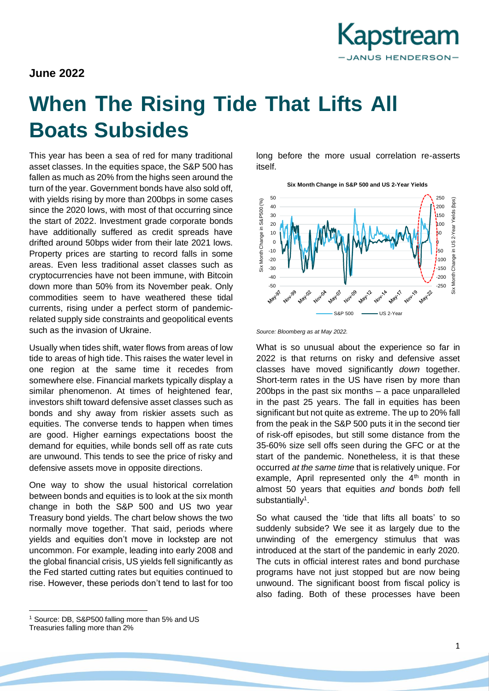

## **June 2022**

# **When The Rising Tide That Lifts All Boats Subsides**

This year has been a sea of red for many traditional asset classes. In the equities space, the S&P 500 has fallen as much as 20% from the highs seen around the turn of the year. Government bonds have also sold off, with yields rising by more than 200bps in some cases since the 2020 lows, with most of that occurring since the start of 2022. Investment grade corporate bonds have additionally suffered as credit spreads have drifted around 50bps wider from their late 2021 lows. Property prices are starting to record falls in some areas. Even less traditional asset classes such as cryptocurrencies have not been immune, with Bitcoin down more than 50% from its November peak. Only commodities seem to have weathered these tidal currents, rising under a perfect storm of pandemicrelated supply side constraints and geopolitical events such as the invasion of Ukraine.

Usually when tides shift, water flows from areas of low tide to areas of high tide. This raises the water level in one region at the same time it recedes from somewhere else. Financial markets typically display a similar phenomenon. At times of heightened fear, investors shift toward defensive asset classes such as bonds and shy away from riskier assets such as equities. The converse tends to happen when times are good. Higher earnings expectations boost the demand for equities, while bonds sell off as rate cuts are unwound. This tends to see the price of risky and defensive assets move in opposite directions.

One way to show the usual historical correlation between bonds and equities is to look at the six month change in both the S&P 500 and US two year Treasury bond yields. The chart below shows the two normally move together. That said, periods where yields and equities don't move in lockstep are not uncommon. For example, leading into early 2008 and the global financial crisis, US yields fell significantly as the Fed started cutting rates but equities continued to rise. However, these periods don't tend to last for too long before the more usual correlation re-asserts itself.



*Source: Bloomberg as at May 2022.*

What is so unusual about the experience so far in 2022 is that returns on risky and defensive asset classes have moved significantly *down* together. Short-term rates in the US have risen by more than 200bps in the past six months – a pace unparalleled in the past 25 years. The fall in equities has been significant but not quite as extreme. The up to 20% fall from the peak in the S&P 500 puts it in the second tier of risk-off episodes, but still some distance from the 35-60% size sell offs seen during the GFC or at the start of the pandemic. Nonetheless, it is that these occurred *at the same time* that is relatively unique. For example, April represented only the  $4<sup>th</sup>$  month in almost 50 years that equities *and* bonds *both* fell substantially<sup>1</sup>.

So what caused the 'tide that lifts all boats' to so suddenly subside? We see it as largely due to the unwinding of the emergency stimulus that was introduced at the start of the pandemic in early 2020. The cuts in official interest rates and bond purchase programs have not just stopped but are now being unwound. The significant boost from fiscal policy is also fading. Both of these processes have been

<sup>1</sup> Source: DB, S&P500 falling more than 5% and US Treasuries falling more than 2%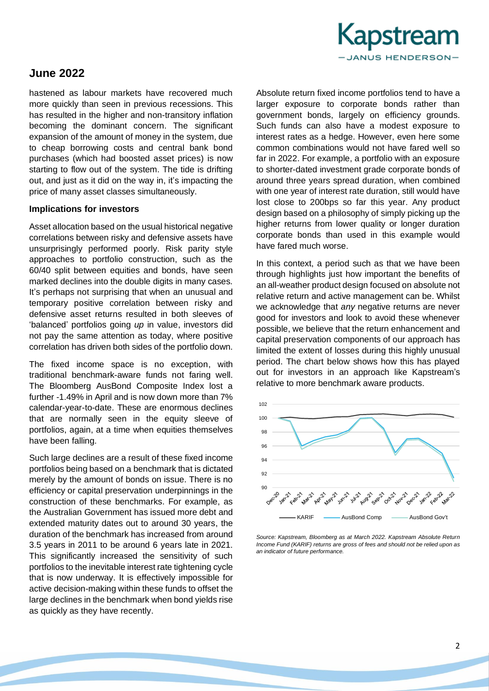

## **June 2022**

hastened as labour markets have recovered much more quickly than seen in previous recessions. This has resulted in the higher and non-transitory inflation becoming the dominant concern. The significant expansion of the amount of money in the system, due to cheap borrowing costs and central bank bond purchases (which had boosted asset prices) is now starting to flow out of the system. The tide is drifting out, and just as it did on the way in, it's impacting the price of many asset classes simultaneously.

#### **Implications for investors**

Asset allocation based on the usual historical negative correlations between risky and defensive assets have unsurprisingly performed poorly. Risk parity style approaches to portfolio construction, such as the 60/40 split between equities and bonds, have seen marked declines into the double digits in many cases. It's perhaps not surprising that when an unusual and temporary positive correlation between risky and defensive asset returns resulted in both sleeves of 'balanced' portfolios going *up* in value, investors did not pay the same attention as today, where positive correlation has driven both sides of the portfolio down.

The fixed income space is no exception, with traditional benchmark-aware funds not faring well. The Bloomberg AusBond Composite Index lost a further -1.49% in April and is now down more than 7% calendar-year-to-date. These are enormous declines that are normally seen in the equity sleeve of portfolios, again, at a time when equities themselves have been falling.

Such large declines are a result of these fixed income portfolios being based on a benchmark that is dictated merely by the amount of bonds on issue. There is no efficiency or capital preservation underpinnings in the construction of these benchmarks. For example, as the Australian Government has issued more debt and extended maturity dates out to around 30 years, the duration of the benchmark has increased from around 3.5 years in 2011 to be around 6 years late in 2021. This significantly increased the sensitivity of such portfolios to the inevitable interest rate tightening cycle that is now underway. It is effectively impossible for active decision-making within these funds to offset the large declines in the benchmark when bond yields rise as quickly as they have recently.

Absolute return fixed income portfolios tend to have a larger exposure to corporate bonds rather than government bonds, largely on efficiency grounds. Such funds can also have a modest exposure to interest rates as a hedge. However, even here some common combinations would not have fared well so far in 2022. For example, a portfolio with an exposure to shorter-dated investment grade corporate bonds of around three years spread duration, when combined with one year of interest rate duration, still would have lost close to 200bps so far this year. Any product design based on a philosophy of simply picking up the higher returns from lower quality or longer duration corporate bonds than used in this example would have fared much worse.

In this context, a period such as that we have been through highlights just how important the benefits of an all-weather product design focused on absolute not relative return and active management can be. Whilst we acknowledge that *any* negative returns are never good for investors and look to avoid these whenever possible, we believe that the return enhancement and capital preservation components of our approach has limited the extent of losses during this highly unusual period. The chart below shows how this has played out for investors in an approach like Kapstream's relative to more benchmark aware products.



*Source: Kapstream, Bloomberg as at March 2022. Kapstream Absolute Return Income Fund (KARIF) returns are gross of fees and should not be relied upon as an indicator of future performance.*